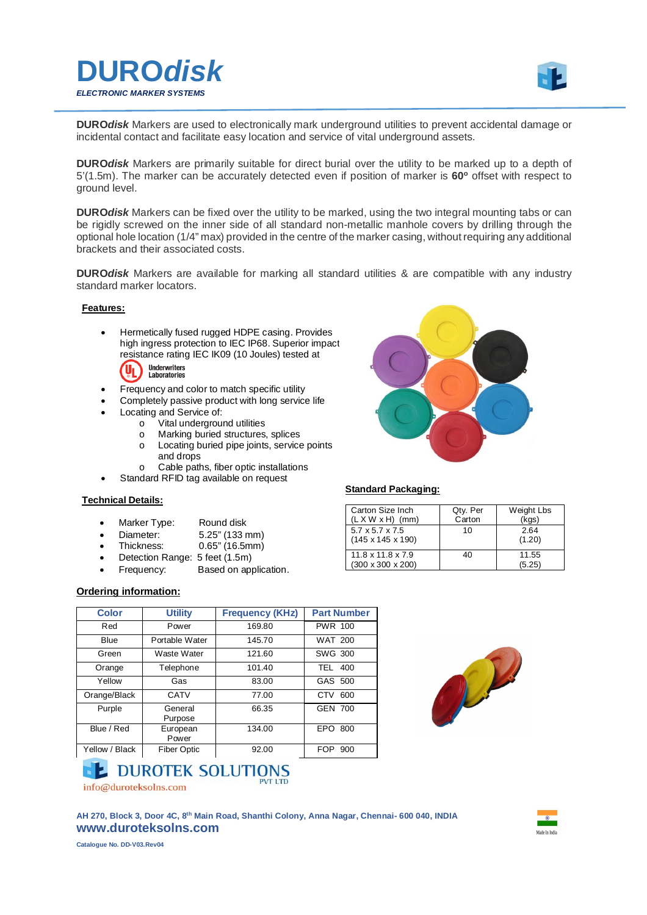



**DURO***disk* Markers are used to electronically mark underground utilities to prevent accidental damage or incidental contact and facilitate easy location and service of vital underground assets.

**DURO***disk* Markers are primarily suitable for direct burial over the utility to be marked up to a depth of 5'(1.5m). The marker can be accurately detected even if position of marker is **60<sup>o</sup>** offset with respect to ground level.

**DURO***disk* Markers can be fixed over the utility to be marked, using the two integral mounting tabs or can be rigidly screwed on the inner side of all standard non-metallic manhole covers by drilling through the optional hole location (1/4" max) provided in the centre of the marker casing, without requiring any additional brackets and their associated costs.

**DURO***disk* Markers are available for marking all standard utilities & are compatible with any industry standard marker locators.

### **Features:**

 Hermetically fused rugged HDPE casing. Provides high ingress protection to IEC IP68. Superior impact resistance rating IEC IK09 (10 Joules) tested at



- Frequency and color to match specific utility
- Completely passive product with long service life
- Locating and Service of:
	- o Vital underground utilities
	- o Marking buried structures, splices
	- o Locating buried pipe joints, service points and drops
	- o Cable paths, fiber optic installations
- Standard RFID tag available on request

### **Technical Details:**

- Marker Type: Round disk
- 
- Diameter: 5.25" (133 mm)<br>Thickness: 0.65" (16.5mm)  $0.65"$  (16.5mm)
- Detection Range: 5 feet (1.5m)
- Frequency: Based on application.

### **Ordering information:**

| <b>Color</b>   | <b>Utility</b>     | <b>Frequency (KHz)</b> | <b>Part Number</b> |
|----------------|--------------------|------------------------|--------------------|
| Red            | Power              | 169.80                 | <b>PWR 100</b>     |
| Blue           | Portable Water     | 145.70                 | <b>WAT 200</b>     |
| Green          | Waste Water        | 121.60                 | SWG 300            |
| Orange         | Telephone          | 101.40                 | <b>TEL 400</b>     |
| Yellow         | Gas                | 83.00                  | GAS 500            |
| Orange/Black   | CATV               | 77.00                  | CTV 600            |
| Purple         | General<br>Purpose | 66.35                  | <b>GEN 700</b>     |
| Blue / Red     | European<br>Power  | 134.00                 | EPO 800            |
| Yellow / Black | <b>Fiber Optic</b> | 92.00                  | FOP<br>900         |



## **L** DUROTEK SOLUTIONS

info@duroteksolns.com

**AH 270, Block 3, Door 4C, 8th Main Road, Shanthi Colony, Anna Nagar, Chennai- 600 040, INDIA www.duroteksolns.com**



**Catalogue No. DD-V03.Rev04**

### **Standard Packaging:**

| Carton Size Inch<br>$(L X W x H)$ (mm)                         | Qty. Per<br>Carton | Weight Lbs<br>(kgs) |
|----------------------------------------------------------------|--------------------|---------------------|
| $5.7 \times 5.7 \times 7.5$<br>$(145 \times 145 \times 190)$   | 10                 | 2.64<br>(1.20)      |
| $11.8 \times 11.8 \times 7.9$<br>$(300 \times 300 \times 200)$ | 40                 | 11.55<br>(5.25)     |